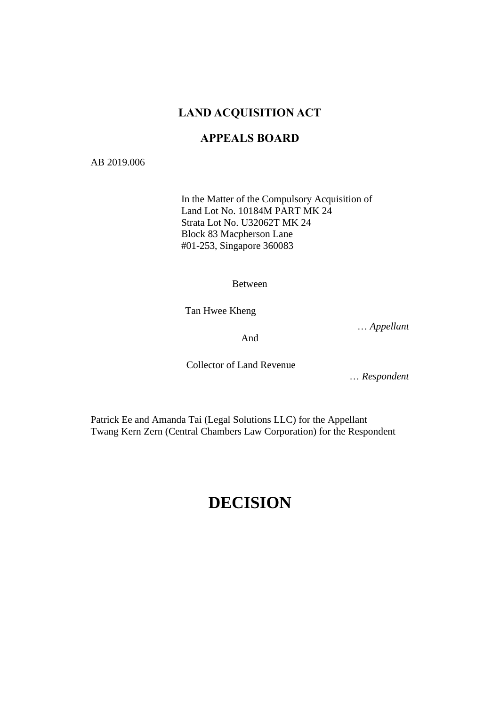# **LAND ACQUISITION ACT**

# **APPEALS BOARD**

AB 2019.006

In the Matter of the Compulsory Acquisition of Land Lot No. 10184M PART MK 24 Strata Lot No. U32062T MK 24 Block 83 Macpherson Lane #01-253, Singapore 360083

Between

Tan Hwee Kheng

… *Appellant*

And

Collector of Land Revenue

… *Respondent*

Patrick Ee and Amanda Tai (Legal Solutions LLC) for the Appellant Twang Kern Zern (Central Chambers Law Corporation) for the Respondent

# **DECISION**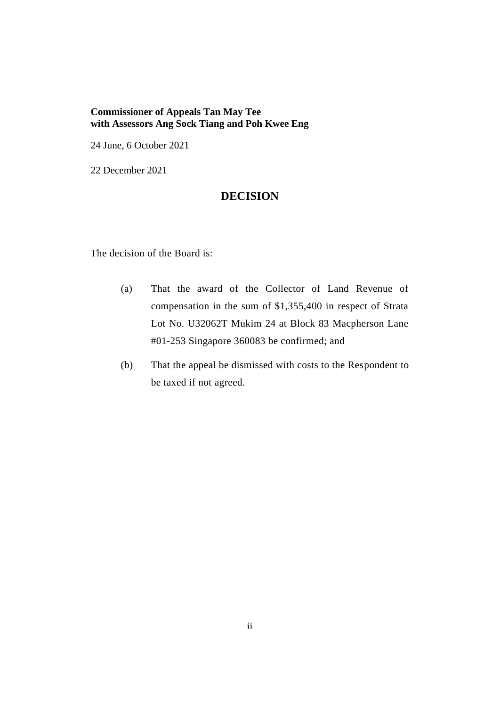## **Commissioner of Appeals Tan May Tee with Assessors Ang Sock Tiang and Poh Kwee Eng**

24 June, 6 October 2021

22 December 2021

# **DECISION**

The decision of the Board is:

- (a) That the award of the Collector of Land Revenue of compensation in the sum of \$1,355,400 in respect of Strata Lot No. U32062T Mukim 24 at Block 83 Macpherson Lane #01-253 Singapore 360083 be confirmed; and
- (b) That the appeal be dismissed with costs to the Respondent to be taxed if not agreed.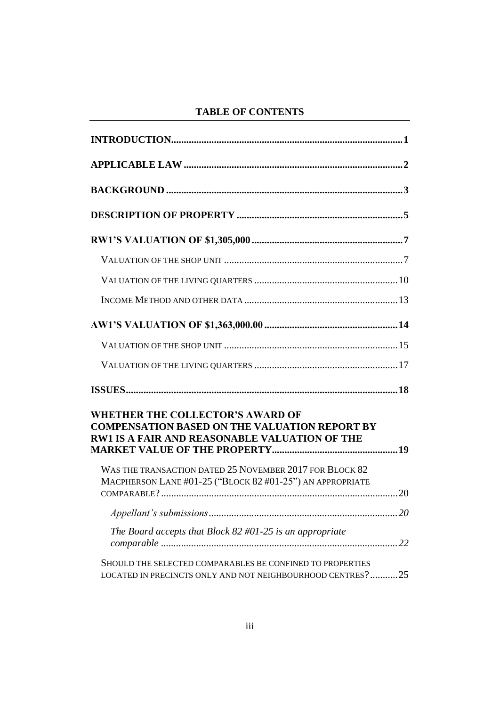# **TABLE OF CONTENTS**

| <b>WHETHER THE COLLECTOR'S AWARD OF</b><br><b>COMPENSATION BASED ON THE VALUATION REPORT BY</b><br><b>RW1 IS A FAIR AND REASONABLE VALUATION OF THE</b> |  |
|---------------------------------------------------------------------------------------------------------------------------------------------------------|--|
| WAS THE TRANSACTION DATED 25 NOVEMBER 2017 FOR BLOCK 82<br>MACPHERSON LANE #01-25 ("BLOCK 82 #01-25") AN APPROPRIATE                                    |  |
|                                                                                                                                                         |  |
| The Board accepts that Block $82$ #01-25 is an appropriate                                                                                              |  |
| SHOULD THE SELECTED COMPARABLES BE CONFINED TO PROPERTIES<br>LOCATED IN PRECINCTS ONLY AND NOT NEIGHBOURHOOD CENTRES?25                                 |  |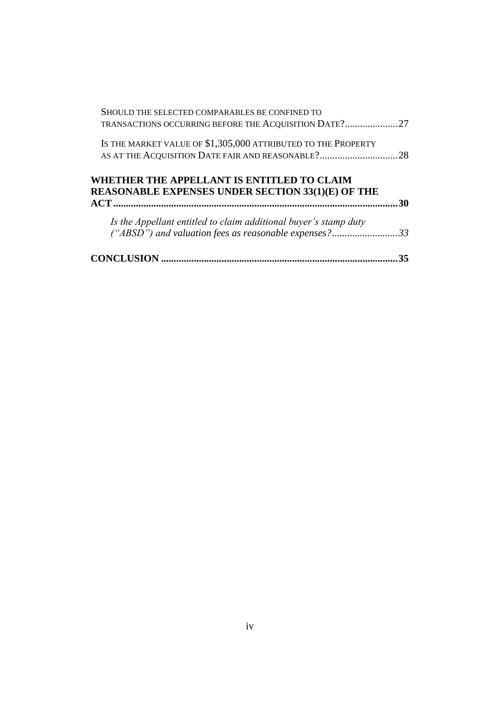| Is the Appellant entitled to claim additional buyer's stamp duty                                                 |     |
|------------------------------------------------------------------------------------------------------------------|-----|
|                                                                                                                  |     |
| WHETHER THE APPELLANT IS ENTITLED TO CLAIM<br><b>REASONABLE EXPENSES UNDER SECTION 33(1)(E) OF THE</b>           | -30 |
| IS THE MARKET VALUE OF \$1,305,000 ATTRIBUTED TO THE PROPERTY<br>AS AT THE ACQUISITION DATE FAIR AND REASONABLE? | .28 |
| TRANSACTIONS OCCURRING BEFORE THE ACQUISITION DATE?27                                                            |     |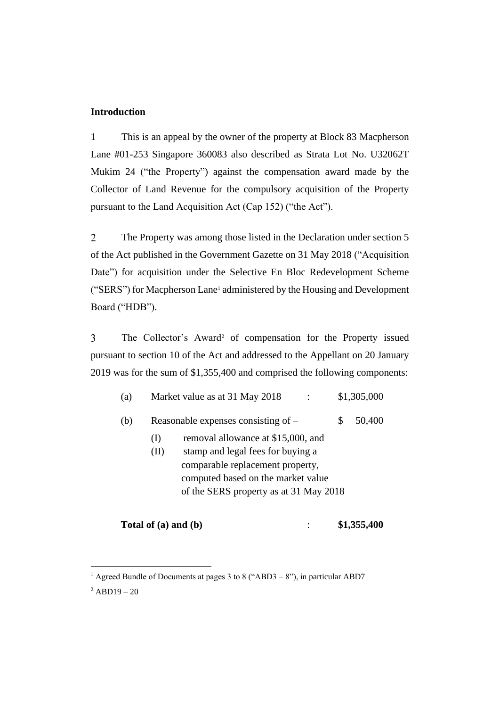## <span id="page-4-0"></span>**Introduction**

1 This is an appeal by the owner of the property at Block 83 Macpherson Lane #01-253 Singapore 360083 also described as Strata Lot No. U32062T Mukim 24 ("the Property") against the compensation award made by the Collector of Land Revenue for the compulsory acquisition of the Property pursuant to the Land Acquisition Act (Cap 152) ("the Act").

 $\overline{2}$ The Property was among those listed in the Declaration under section 5 of the Act published in the Government Gazette on 31 May 2018 ("Acquisition Date") for acquisition under the Selective En Bloc Redevelopment Scheme ("SERS") for Macpherson Lane<sup>1</sup> administered by the Housing and Development Board ("HDB").

 $\overline{3}$ The Collector's Award<sup>2</sup> of compensation for the Property issued pursuant to section 10 of the Act and addressed to the Appellant on 20 January 2019 was for the sum of \$1,355,400 and comprised the following components:

| (a) | Market value as at 31 May 2018<br>\$1,305,000                                                                                                                                                                       |
|-----|---------------------------------------------------------------------------------------------------------------------------------------------------------------------------------------------------------------------|
| (b) | Reasonable expenses consisting of $-$<br>S<br>50,400                                                                                                                                                                |
|     | removal allowance at \$15,000, and<br>$\rm _{(1)}$<br>stamp and legal fees for buying a<br>(II)<br>comparable replacement property,<br>computed based on the market value<br>of the SERS property as at 31 May 2018 |

**Total of (a) and (b)** : **\$1,355,400**

<sup>&</sup>lt;sup>1</sup> Agreed Bundle of Documents at pages 3 to 8 ("ABD3 – 8"), in particular ABD7

 $^{2}$ ABD19 – 20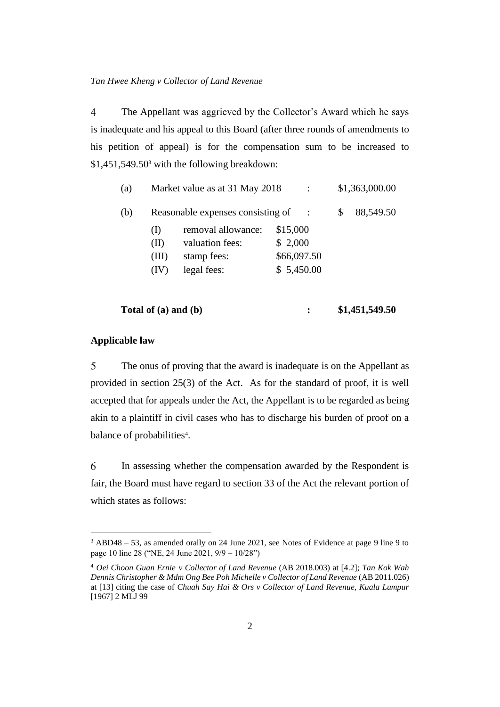$\overline{4}$ The Appellant was aggrieved by the Collector's Award which he says is inadequate and his appeal to this Board (after three rounds of amendments to his petition of appeal) is for the compensation sum to be increased to \$1,451,549.50<sup>3</sup> with the following breakdown:

| (a) |       | Market value as at 31 May 2018    |             |          | \$1,363,000.00 |           |
|-----|-------|-----------------------------------|-------------|----------|----------------|-----------|
| (b) |       | Reasonable expenses consisting of |             | $\ddots$ | S              | 88,549.50 |
|     | (1)   | removal allowance:                | \$15,000    |          |                |           |
|     | (II)  | valuation fees:                   | \$2,000     |          |                |           |
|     | (III) | stamp fees:                       | \$66,097.50 |          |                |           |
|     | (IV)  | legal fees:                       | \$5,450.00  |          |                |           |
|     |       |                                   |             |          |                |           |

| Total of $(a)$ and $(b)$ |  | \$1,451,549.50 |
|--------------------------|--|----------------|
|--------------------------|--|----------------|

## <span id="page-5-0"></span>**Applicable law**

5 The onus of proving that the award is inadequate is on the Appellant as provided in section 25(3) of the Act. As for the standard of proof, it is well accepted that for appeals under the Act, the Appellant is to be regarded as being akin to a plaintiff in civil cases who has to discharge his burden of proof on a balance of probabilities<sup>4</sup>.

6 In assessing whether the compensation awarded by the Respondent is fair, the Board must have regard to section 33 of the Act the relevant portion of which states as follows:

<sup>3</sup> ABD48 – 53, as amended orally on 24 June 2021, see Notes of Evidence at page 9 line 9 to page 10 line 28 ("NE, 24 June 2021, 9/9 – 10/28")

<sup>4</sup> *Oei Choon Guan Ernie v Collector of Land Revenue* (AB 2018.003) at [4.2]; *Tan Kok Wah Dennis Christopher & Mdm Ong Bee Poh Michelle v Collector of Land Revenue* (AB 2011.026) at [13] citing the case of *Chuah Say Hai & Ors v Collector of Land Revenue, Kuala Lumpur* [1967] 2 MLJ 99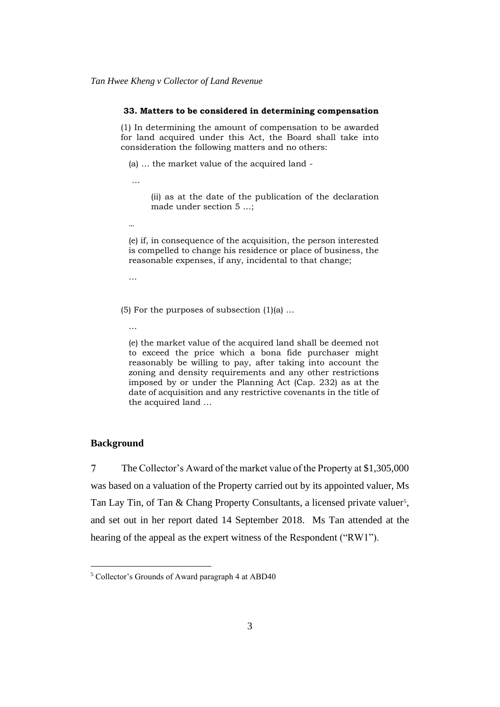#### **33. Matters to be considered in determining compensation**

(1) In determining the amount of compensation to be awarded for land acquired under this Act, the Board shall take into consideration the following matters and no others:

(a) … the market value of the acquired land -

…

(ii) as at the date of the publication of the declaration made under section 5 …;

…

(e) if, in consequence of the acquisition, the person interested is compelled to change his residence or place of business, the reasonable expenses, if any, incidental to that change;

…

(5) For the purposes of subsection  $(1)(a)$  ...

…

(e) the market value of the acquired land shall be deemed not to exceed the price which a bona fide purchaser might reasonably be willing to pay, after taking into account the zoning and density requirements and any other restrictions imposed by or under the Planning Act (Cap. 232) as at the date of acquisition and any restrictive covenants in the title of the acquired land …

#### <span id="page-6-0"></span>**Background**

 $\overline{7}$ The Collector's Award of the market value of the Property at \$1,305,000 was based on a valuation of the Property carried out by its appointed valuer, Ms Tan Lay Tin, of Tan & Chang Property Consultants, a licensed private valuer<sup>5</sup>, and set out in her report dated 14 September 2018. Ms Tan attended at the hearing of the appeal as the expert witness of the Respondent ("RW1").

<sup>5</sup> Collector's Grounds of Award paragraph 4 at ABD40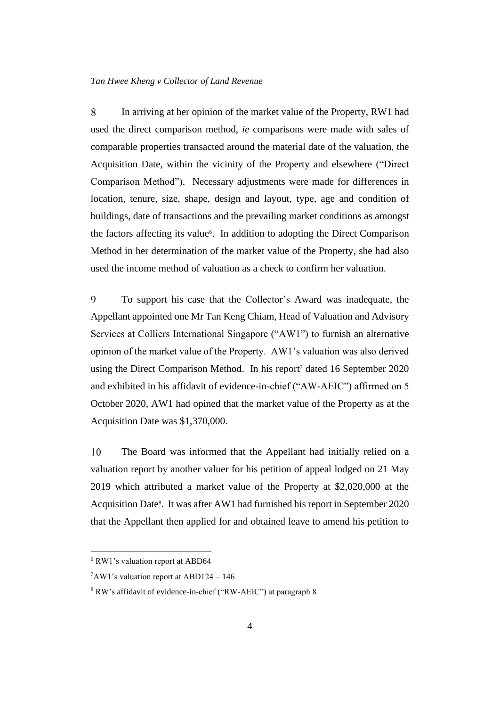8 In arriving at her opinion of the market value of the Property, RW1 had used the direct comparison method, *ie* comparisons were made with sales of comparable properties transacted around the material date of the valuation, the Acquisition Date, within the vicinity of the Property and elsewhere ("Direct Comparison Method"). Necessary adjustments were made for differences in location, tenure, size, shape, design and layout, type, age and condition of buildings, date of transactions and the prevailing market conditions as amongst the factors affecting its value<sup>6</sup>. In addition to adopting the Direct Comparison Method in her determination of the market value of the Property, she had also used the income method of valuation as a check to confirm her valuation.

9 To support his case that the Collector's Award was inadequate, the Appellant appointed one Mr Tan Keng Chiam, Head of Valuation and Advisory Services at Colliers International Singapore ("AW1") to furnish an alternative opinion of the market value of the Property. AW1's valuation was also derived using the Direct Comparison Method. In his report<sup>7</sup> dated 16 September 2020 and exhibited in his affidavit of evidence-in-chief ("AW-AEIC") affirmed on 5 October 2020, AW1 had opined that the market value of the Property as at the Acquisition Date was \$1,370,000.

10 The Board was informed that the Appellant had initially relied on a valuation report by another valuer for his petition of appeal lodged on 21 May 2019 which attributed a market value of the Property at \$2,020,000 at the Acquisition Date<sup>8</sup>. It was after AW1 had furnished his report in September 2020 that the Appellant then applied for and obtained leave to amend his petition to

<sup>6</sup> RW1's valuation report at ABD64

<sup>7</sup>AW1's valuation report at ABD124 – 146

<sup>8</sup> RW's affidavit of evidence-in-chief ("RW-AEIC") at paragraph 8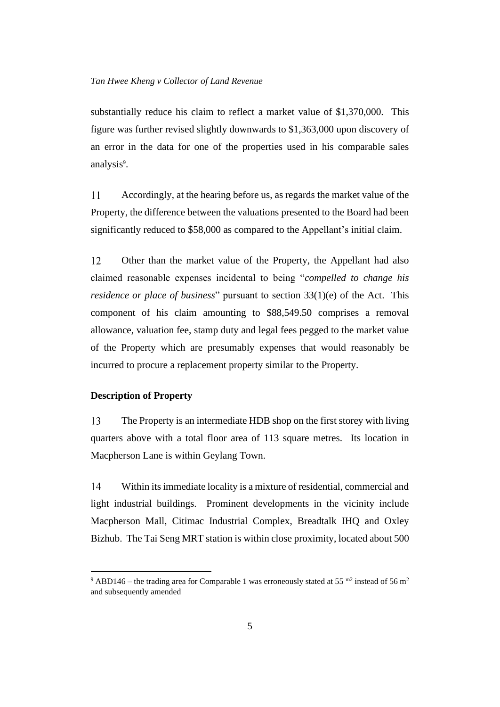substantially reduce his claim to reflect a market value of \$1,370,000. This figure was further revised slightly downwards to \$1,363,000 upon discovery of an error in the data for one of the properties used in his comparable sales analysis<sup>9</sup>.

11 Accordingly, at the hearing before us, as regards the market value of the Property, the difference between the valuations presented to the Board had been significantly reduced to \$58,000 as compared to the Appellant's initial claim.

12 Other than the market value of the Property, the Appellant had also claimed reasonable expenses incidental to being "*compelled to change his residence or place of business*" pursuant to section 33(1)(e) of the Act. This component of his claim amounting to \$88,549.50 comprises a removal allowance, valuation fee, stamp duty and legal fees pegged to the market value of the Property which are presumably expenses that would reasonably be incurred to procure a replacement property similar to the Property.

#### <span id="page-8-0"></span>**Description of Property**

13 The Property is an intermediate HDB shop on the first storey with living quarters above with a total floor area of 113 square metres. Its location in Macpherson Lane is within Geylang Town.

14 Within its immediate locality is a mixture of residential, commercial and light industrial buildings. Prominent developments in the vicinity include Macpherson Mall, Citimac Industrial Complex, Breadtalk IHQ and Oxley Bizhub. The Tai Seng MRT station is within close proximity, located about 500

<sup>&</sup>lt;sup>9</sup> ABD146 – the trading area for Comparable 1 was erroneously stated at 55  $^{\text{m2}}$  instead of 56 m<sup>2</sup> and subsequently amended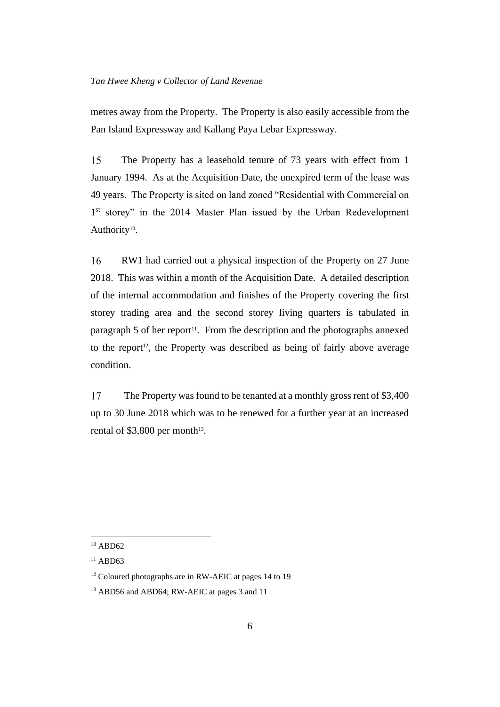metres away from the Property. The Property is also easily accessible from the Pan Island Expressway and Kallang Paya Lebar Expressway.

15 The Property has a leasehold tenure of 73 years with effect from 1 January 1994. As at the Acquisition Date, the unexpired term of the lease was 49 years. The Property is sited on land zoned "Residential with Commercial on 1<sup>st</sup> storey" in the 2014 Master Plan issued by the Urban Redevelopment Authority<sup>10</sup>.

16 RW1 had carried out a physical inspection of the Property on 27 June 2018. This was within a month of the Acquisition Date. A detailed description of the internal accommodation and finishes of the Property covering the first storey trading area and the second storey living quarters is tabulated in paragraph 5 of her report<sup>11</sup>. From the description and the photographs annexed to the report<sup>12</sup>, the Property was described as being of fairly above average condition.

17 The Property was found to be tenanted at a monthly gross rent of \$3,400 up to 30 June 2018 which was to be renewed for a further year at an increased rental of \$3,800 per month $13$ .

 $10$  ABD62

 $11$  ABD63

<sup>&</sup>lt;sup>12</sup> Coloured photographs are in RW-AEIC at pages 14 to 19

<sup>&</sup>lt;sup>13</sup> ABD56 and ABD64; RW-AEIC at pages 3 and 11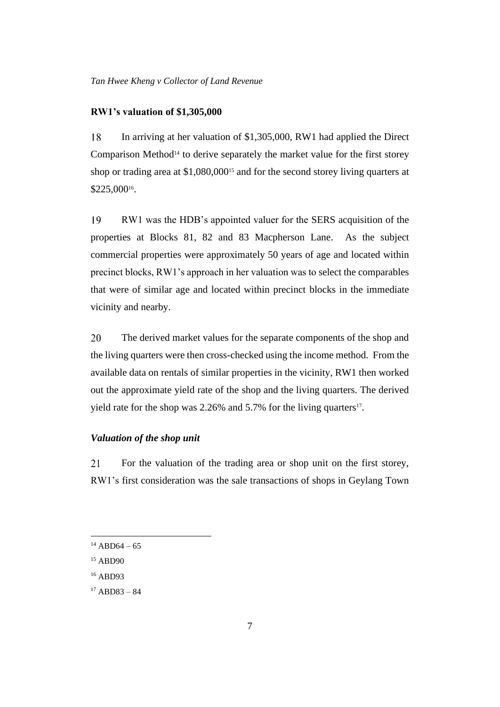#### <span id="page-10-0"></span>**RW1's valuation of \$1,305,000**

18 In arriving at her valuation of \$1,305,000, RW1 had applied the Direct Comparison Method<sup>14</sup> to derive separately the market value for the first storey shop or trading area at \$1,080,000<sup>15</sup> and for the second storey living quarters at \$225,000<sup>16</sup> .

19 RW1 was the HDB's appointed valuer for the SERS acquisition of the properties at Blocks 81, 82 and 83 Macpherson Lane. As the subject commercial properties were approximately 50 years of age and located within precinct blocks, RW1's approach in her valuation was to select the comparables that were of similar age and located within precinct blocks in the immediate vicinity and nearby.

20 The derived market values for the separate components of the shop and the living quarters were then cross-checked using the income method. From the available data on rentals of similar properties in the vicinity, RW1 then worked out the approximate yield rate of the shop and the living quarters. The derived yield rate for the shop was  $2.26\%$  and  $5.7\%$  for the living quarters<sup>17</sup>.

#### <span id="page-10-1"></span>*Valuation of the shop unit*

21 For the valuation of the trading area or shop unit on the first storey, RW1's first consideration was the sale transactions of shops in Geylang Town

 $14$  ABD64 – 65

<sup>15</sup> ABD90

<sup>16</sup> ABD93

 $17$  ABD83 – 84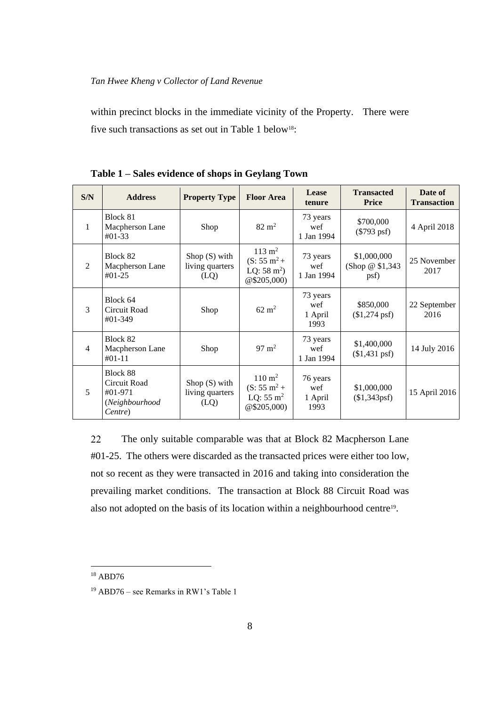within precinct blocks in the immediate vicinity of the Property. There were five such transactions as set out in Table 1 below<sup>18</sup>:

| S/N            | <b>Address</b>                                                   | <b>Property Type</b>                       | <b>Floor Area</b>                                                                     | Lease<br>tenure                    | <b>Transacted</b><br><b>Price</b>        | Date of<br><b>Transaction</b> |
|----------------|------------------------------------------------------------------|--------------------------------------------|---------------------------------------------------------------------------------------|------------------------------------|------------------------------------------|-------------------------------|
| $\mathbf{1}$   | Block 81<br>Macpherson Lane<br>$#01-33$                          | Shop                                       | $82 \text{ m}^2$                                                                      | 73 years<br>wef<br>1 Jan 1994      | \$700,000<br>$(\$793$ psf)               | 4 April 2018                  |
| 2              | Block 82<br>Macpherson Lane<br>$#01-25$                          | Shop $(S)$ with<br>living quarters<br>(LQ) | $113 \text{ m}^2$<br>$(S: 55 \text{ m}^2 +$<br>LQ: $58 \text{ m}^2$ )<br>@\$205,000   | 73 years<br>wef<br>1 Jan 1994      | \$1,000,000<br>(Shop $@$1,343$ )<br>psf) | 25 November<br>2017           |
| 3              | Block 64<br>Circuit Road<br>$#01-349$                            | Shop                                       | $62 \text{ m}^2$                                                                      | 73 years<br>wef<br>1 April<br>1993 | \$850,000<br>$($1,274 \text{ psf})$      | 22 September<br>2016          |
| $\overline{4}$ | Block 82<br>Macpherson Lane<br>$#01-11$                          | Shop                                       | $97 \text{ m}^2$                                                                      | 73 years<br>wef<br>1 Jan 1994      | \$1,400,000<br>$($1,431$ psf)            | 14 July 2016                  |
| 5              | Block 88<br>Circuit Road<br>#01-971<br>(Neighbourhood<br>Centre) | Shop $(S)$ with<br>living quarters<br>(LQ) | $110 \; \mathrm{m}^2$<br>$(S: 55 \text{ m}^2 +$<br>LQ: $55 \text{ m}^2$<br>@\$205,000 | 76 years<br>wef<br>1 April<br>1993 | \$1,000,000<br>(\$1,343psf)              | 15 April 2016                 |

**Table 1 – Sales evidence of shops in Geylang Town**

22 The only suitable comparable was that at Block 82 Macpherson Lane #01-25. The others were discarded as the transacted prices were either too low, not so recent as they were transacted in 2016 and taking into consideration the prevailing market conditions. The transaction at Block 88 Circuit Road was also not adopted on the basis of its location within a neighbourhood centre<sup>19</sup>.

<sup>18</sup> ABD76

<sup>19</sup> ABD76 – see Remarks in RW1's Table 1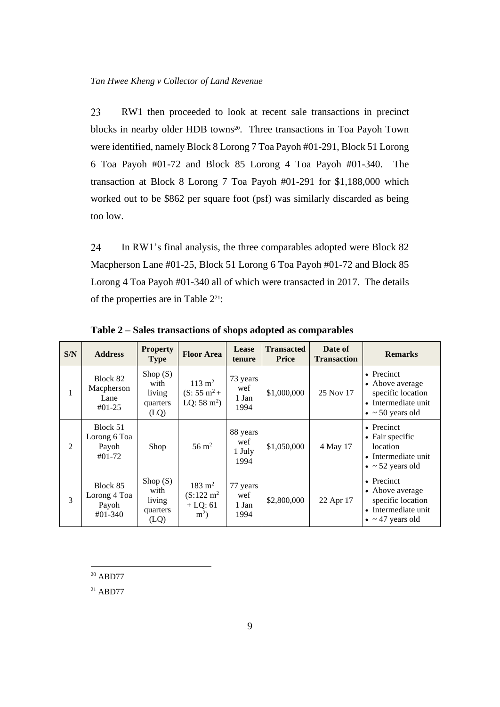23 RW1 then proceeded to look at recent sale transactions in precinct blocks in nearby older HDB towns<sup>20</sup>. Three transactions in Toa Payoh Town were identified, namely Block 8 Lorong 7 Toa Payoh #01-291, Block 51 Lorong 6 Toa Payoh #01-72 and Block 85 Lorong 4 Toa Payoh #01-340. The transaction at Block 8 Lorong 7 Toa Payoh #01-291 for \$1,188,000 which worked out to be \$862 per square foot (psf) was similarly discarded as being too low.

24 In RW1's final analysis, the three comparables adopted were Block 82 Macpherson Lane #01-25, Block 51 Lorong 6 Toa Payoh #01-72 and Block 85 Lorong 4 Toa Payoh #01-340 all of which were transacted in 2017. The details of the properties are in Table 221:

| S/N | <b>Address</b>                                 | <b>Property</b><br><b>Type</b>                   | <b>Floor Area</b>                                                       | Lease<br>tenure                   | <b>Transacted</b><br><b>Price</b> | Date of<br><b>Transaction</b> | <b>Remarks</b>                                                                                        |
|-----|------------------------------------------------|--------------------------------------------------|-------------------------------------------------------------------------|-----------------------------------|-----------------------------------|-------------------------------|-------------------------------------------------------------------------------------------------------|
|     | Block 82<br>Macpherson<br>Lane<br>$#01-25$     | Shop $(S)$<br>with<br>living<br>quarters<br>(LQ) | $113 \text{ m}^2$<br>$(S: 55 \text{ m}^2 +$<br>LQ: $58 \text{ m}^2$ )   | 73 years<br>wef<br>1 Jan<br>1994  | \$1,000,000                       | 25 Nov 17                     | • Precinct<br>• Above average<br>specific location<br>• Intermediate unit<br>$\bullet$ ~ 50 years old |
| 2   | Block 51<br>Lorong 6 Toa<br>Payoh<br>$#01-72$  | Shop                                             | $56 \text{ m}^2$                                                        | 88 years<br>wef<br>1 July<br>1994 | \$1,050,000                       | 4 May 17                      | • Precinct<br>• Fair specific<br>location<br>• Intermediate unit<br>$\bullet$ ~ 52 years old          |
| 3   | Block 85<br>Lorong 4 Toa<br>Payoh<br>$#01-340$ | Shop $(S)$<br>with<br>living<br>quarters<br>(LQ) | $183 \; \mathrm{m}^2$<br>$(S:122 \text{ m}^2)$<br>$+$ LQ: 61<br>$m^2$ ) | 77 years<br>wef<br>1 Jan<br>1994  | \$2,800,000                       | 22 Apr 17                     | • Precinct<br>• Above average<br>specific location<br>• Intermediate unit<br>$\bullet$ ~ 47 years old |

**Table 2 – Sales transactions of shops adopted as comparables**

<sup>20</sup> ABD77

<sup>21</sup> ABD77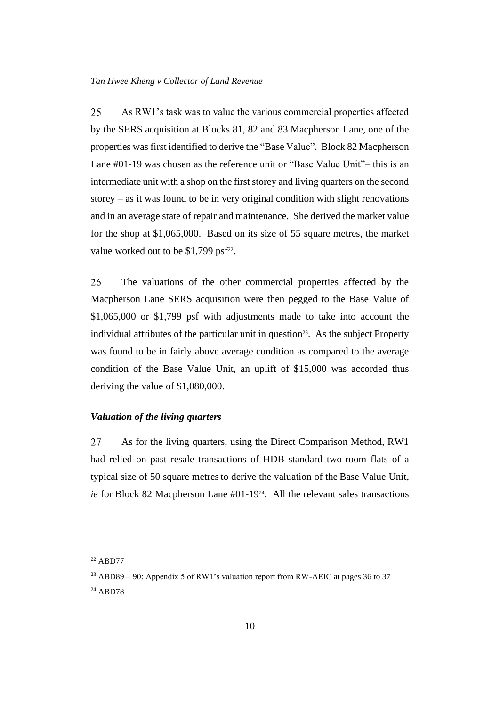25 As RW1's task was to value the various commercial properties affected by the SERS acquisition at Blocks 81, 82 and 83 Macpherson Lane, one of the properties was first identified to derive the "Base Value". Block 82 Macpherson Lane #01-19 was chosen as the reference unit or "Base Value Unit"– this is an intermediate unit with a shop on the first storey and living quarters on the second storey – as it was found to be in very original condition with slight renovations and in an average state of repair and maintenance. She derived the market value for the shop at \$1,065,000. Based on its size of 55 square metres, the market value worked out to be  $$1,799$  psf<sup>22</sup>.

26 The valuations of the other commercial properties affected by the Macpherson Lane SERS acquisition were then pegged to the Base Value of \$1,065,000 or \$1,799 psf with adjustments made to take into account the individual attributes of the particular unit in question<sup>23</sup>. As the subject Property was found to be in fairly above average condition as compared to the average condition of the Base Value Unit, an uplift of \$15,000 was accorded thus deriving the value of \$1,080,000.

## <span id="page-13-0"></span>*Valuation of the living quarters*

27 As for the living quarters, using the Direct Comparison Method, RW1 had relied on past resale transactions of HDB standard two-room flats of a typical size of 50 square metresto derive the valuation of the Base Value Unit, ie for Block 82 Macpherson Lane #01-19<sup>24</sup>. All the relevant sales transactions

<sup>22</sup> ABD77

<sup>&</sup>lt;sup>23</sup> ABD89 – 90: Appendix 5 of RW1's valuation report from RW-AEIC at pages 36 to 37

<sup>24</sup> ABD78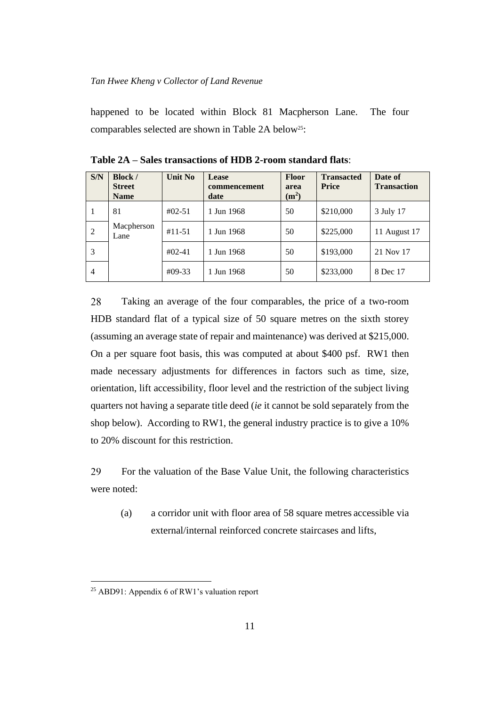happened to be located within Block 81 Macpherson Lane. The four comparables selected are shown in Table 2A below<sup>25</sup>:

| S/N            | <b>Block</b> /<br><b>Street</b><br><b>Name</b> | Unit No     | Lease<br>commencement<br>date | <b>Floor</b><br>area<br>(m <sup>2</sup> ) | <b>Transacted</b><br><b>Price</b> | Date of<br><b>Transaction</b> |
|----------------|------------------------------------------------|-------------|-------------------------------|-------------------------------------------|-----------------------------------|-------------------------------|
|                | 81                                             | $#02 - 51$  | 1 Jun 1968                    | 50                                        | \$210,000                         | 3 July 17                     |
| 2              | Macpherson<br>Lane                             | $#11 - 51$  | 1 Jun 1968                    | 50                                        | \$225,000                         | 11 August 17                  |
| 3              |                                                | $\#02 - 41$ | 1 Jun 1968                    | 50                                        | \$193,000                         | 21 Nov 17                     |
| $\overline{4}$ |                                                | $#09-33$    | 1 Jun 1968                    | 50                                        | \$233,000                         | 8 Dec 17                      |

**Table 2A – Sales transactions of HDB 2-room standard flats**:

28 Taking an average of the four comparables, the price of a two-room HDB standard flat of a typical size of 50 square metres on the sixth storey (assuming an average state of repair and maintenance) was derived at \$215,000. On a per square foot basis, this was computed at about \$400 psf. RW1 then made necessary adjustments for differences in factors such as time, size, orientation, lift accessibility, floor level and the restriction of the subject living quarters not having a separate title deed (*ie* it cannot be sold separately from the shop below). According to RW1, the general industry practice is to give a 10% to 20% discount for this restriction.

29 For the valuation of the Base Value Unit, the following characteristics were noted:

(a) a corridor unit with floor area of 58 square metres accessible via external/internal reinforced concrete staircases and lifts,

<sup>25</sup> ABD91: Appendix 6 of RW1's valuation report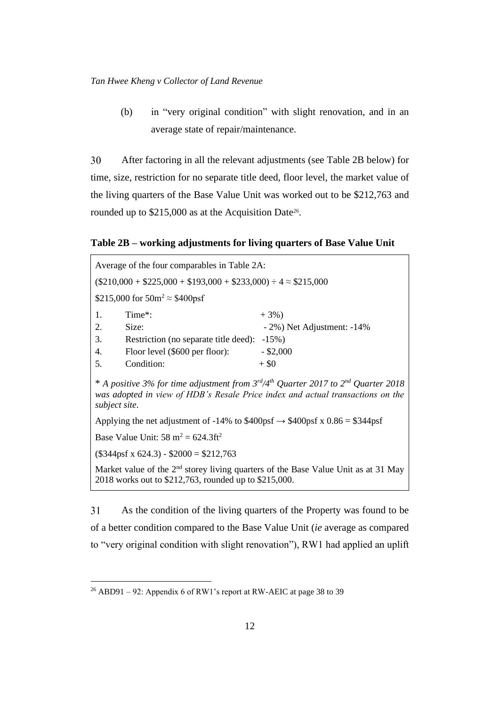(b) in "very original condition" with slight renovation, and in an average state of repair/maintenance.

30 After factoring in all the relevant adjustments (see Table 2B below) for time, size, restriction for no separate title deed, floor level, the market value of the living quarters of the Base Value Unit was worked out to be \$212,763 and rounded up to  $$215,000$  as at the Acquisition Date<sup>26</sup>.

**Table 2B – working adjustments for living quarters of Base Value Unit**

| Average of the four comparables in Table 2A:                                                                                                                                                      |                            |  |  |  |  |
|---------------------------------------------------------------------------------------------------------------------------------------------------------------------------------------------------|----------------------------|--|--|--|--|
| $($210,000 + $225,000 + $193,000 + $233,000) \div 4 \approx $215,000$                                                                                                                             |                            |  |  |  |  |
| \$215,000 for $50m^2 \approx $400psf$                                                                                                                                                             |                            |  |  |  |  |
| 1.<br>Time <sup>*</sup> :                                                                                                                                                                         | $+3\%$                     |  |  |  |  |
| 2.<br>Size:                                                                                                                                                                                       | - 2%) Net Adjustment: -14% |  |  |  |  |
| 3.<br>Restriction (no separate title deed):                                                                                                                                                       | $-15\%$ )                  |  |  |  |  |
| Floor level (\$600 per floor):<br>4.                                                                                                                                                              | $-$ \$2,000                |  |  |  |  |
| Condition:<br>5.                                                                                                                                                                                  | $+$ \$0                    |  |  |  |  |
| * A positive 3% for time adjustment from $3^{rd}/4^{th}$ Quarter 2017 to $2^{nd}$ Quarter 2018<br>was adopted in view of HDB's Resale Price index and actual transactions on the<br>subject site. |                            |  |  |  |  |
| Applying the net adjustment of -14% to \$400psf $\rightarrow$ \$400psf x 0.86 = \$344psf                                                                                                          |                            |  |  |  |  |

Base Value Unit:  $58 \text{ m}^2 = 624.3 \text{ ft}^2$ 

(\$344psf x 624.3) - \$2000 = \$212,763

Market value of the  $2<sup>nd</sup>$  storey living quarters of the Base Value Unit as at 31 May 2018 works out to \$212,763, rounded up to \$215,000.

31 As the condition of the living quarters of the Property was found to be of a better condition compared to the Base Value Unit (*ie* average as compared to "very original condition with slight renovation"), RW1 had applied an uplift

<sup>26</sup> ABD91 – 92: Appendix 6 of RW1's report at RW-AEIC at page 38 to 39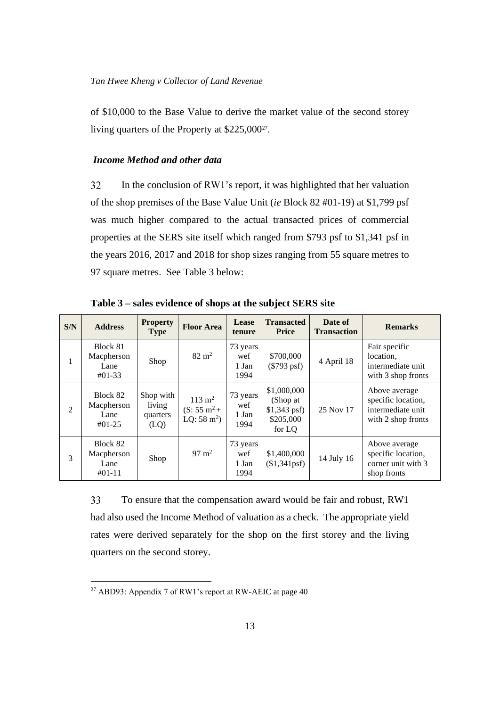of \$10,000 to the Base Value to derive the market value of the second storey living quarters of the Property at \$225,000<sup>27</sup>.

## <span id="page-16-0"></span>*Income Method and other data*

32 In the conclusion of RW1's report, it was highlighted that her valuation of the shop premises of the Base Value Unit (*ie* Block 82 #01-19) at \$1,799 psf was much higher compared to the actual transacted prices of commercial properties at the SERS site itself which ranged from \$793 psf to \$1,341 psf in the years 2016, 2017 and 2018 for shop sizes ranging from 55 square metres to 97 square metres. See Table 3 below:

| S/N            | <b>Address</b>                             | <b>Property</b><br><b>Type</b>          | <b>Floor Area</b>                                                     | Lease<br>tenure                  | <b>Transacted</b><br><b>Price</b>                               | Date of<br><b>Transaction</b> | <b>Remarks</b>                                                                 |
|----------------|--------------------------------------------|-----------------------------------------|-----------------------------------------------------------------------|----------------------------------|-----------------------------------------------------------------|-------------------------------|--------------------------------------------------------------------------------|
| 1              | Block 81<br>Macpherson<br>Lane<br>$#01-33$ | Shop                                    | $82 \text{ m}^2$                                                      | 73 years<br>wef<br>1 Jan<br>1994 | \$700,000<br>$(\$793$ psf)                                      | 4 April 18                    | Fair specific<br>location.<br>intermediate unit<br>with 3 shop fronts          |
| $\overline{2}$ | Block 82<br>Macpherson<br>Lane<br>$#01-25$ | Shop with<br>living<br>quarters<br>(LQ) | $113 \text{ m}^2$<br>$(S: 55 \text{ m}^2 +$<br>LQ: $58 \text{ m}^2$ ) | 73 years<br>wef<br>1 Jan<br>1994 | \$1,000,000<br>(Shop at<br>$$1,343$ psf)<br>\$205,000<br>for LQ | 25 Nov 17                     | Above average<br>specific location,<br>intermediate unit<br>with 2 shop fronts |
| 3              | Block 82<br>Macpherson<br>Lane<br>$#01-11$ | Shop                                    | $97 \text{ m}^2$                                                      | 73 years<br>wef<br>1 Jan<br>1994 | \$1,400,000<br>(\$1,341psf)                                     | 14 July 16                    | Above average<br>specific location,<br>corner unit with 3<br>shop fronts       |

**Table 3 – sales evidence of shops at the subject SERS site**

33 To ensure that the compensation award would be fair and robust, RW1 had also used the Income Method of valuation as a check. The appropriate yield rates were derived separately for the shop on the first storey and the living quarters on the second storey.

<sup>27</sup> ABD93: Appendix 7 of RW1's report at RW-AEIC at page 40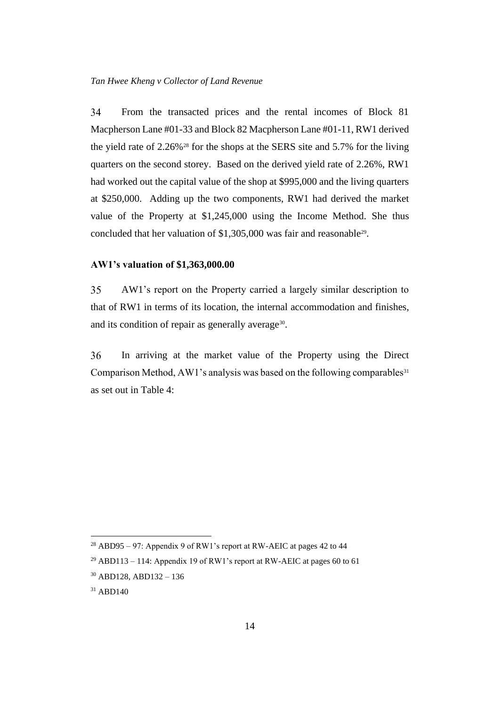34 From the transacted prices and the rental incomes of Block 81 Macpherson Lane #01-33 and Block 82 Macpherson Lane #01-11, RW1 derived the yield rate of 2.26%<sup>28</sup> for the shops at the SERS site and 5.7% for the living quarters on the second storey. Based on the derived yield rate of 2.26%, RW1 had worked out the capital value of the shop at \$995,000 and the living quarters at \$250,000. Adding up the two components, RW1 had derived the market value of the Property at \$1,245,000 using the Income Method. She thus concluded that her valuation of \$1,305,000 was fair and reasonable<sup>29</sup>.

#### <span id="page-17-0"></span>**AW1's valuation of \$1,363,000.00**

35 AW1's report on the Property carried a largely similar description to that of RW1 in terms of its location, the internal accommodation and finishes, and its condition of repair as generally average<sup>30</sup>.

36 In arriving at the market value of the Property using the Direct Comparison Method, AW1's analysis was based on the following comparables<sup>31</sup> as set out in Table 4:

<sup>28</sup> ABD95 – 97: Appendix 9 of RW1's report at RW-AEIC at pages 42 to 44

<sup>&</sup>lt;sup>29</sup> ABD113 – 114: Appendix 19 of RW1's report at RW-AEIC at pages 60 to 61

<sup>30</sup> ABD128, ABD132 – 136

<sup>31</sup> ABD140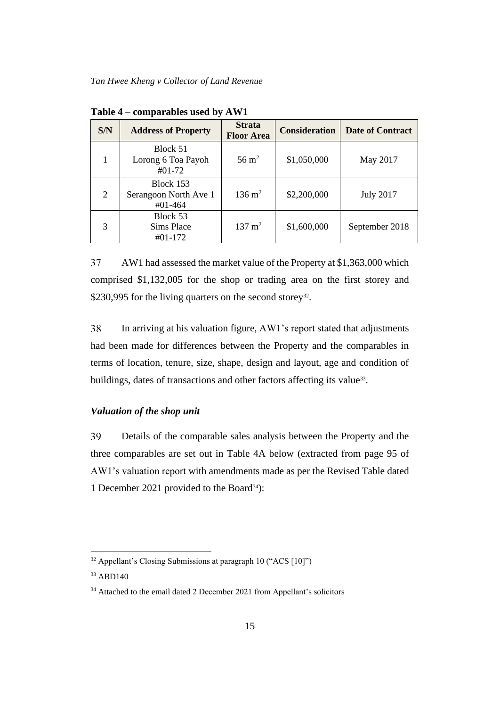| S/N            | <b>Address of Property</b>                    | <b>Strata</b><br><b>Floor Area</b> | <b>Consideration</b> | <b>Date of Contract</b> |
|----------------|-----------------------------------------------|------------------------------------|----------------------|-------------------------|
|                | Block 51<br>Lorong 6 Toa Payoh<br>$#01-72$    | $56 \text{ m}^2$                   | \$1,050,000          | May 2017                |
| $\overline{2}$ | Block 153<br>Serangoon North Ave 1<br>#01-464 | $136 \text{ m}^2$                  | \$2,200,000          | <b>July 2017</b>        |
| 3              | Block 53<br>Sims Place<br>#01-172             | $137 \text{ m}^2$                  | \$1,600,000          | September 2018          |

**Table 4 – comparables used by AW1**

37 AW1 had assessed the market value of the Property at \$1,363,000 which comprised \$1,132,005 for the shop or trading area on the first storey and \$230,995 for the living quarters on the second storey<sup>32</sup>.

38 In arriving at his valuation figure, AW1's report stated that adjustments had been made for differences between the Property and the comparables in terms of location, tenure, size, shape, design and layout, age and condition of buildings, dates of transactions and other factors affecting its value<sup>33</sup>.

## <span id="page-18-0"></span>*Valuation of the shop unit*

39 Details of the comparable sales analysis between the Property and the three comparables are set out in Table 4A below (extracted from page 95 of AW1's valuation report with amendments made as per the Revised Table dated 1 December 2021 provided to the Board<sup>34</sup>):

 $32$  Appellant's Closing Submissions at paragraph 10 ("ACS [10]")

<sup>33</sup> ABD140

<sup>&</sup>lt;sup>34</sup> Attached to the email dated 2 December 2021 from Appellant's solicitors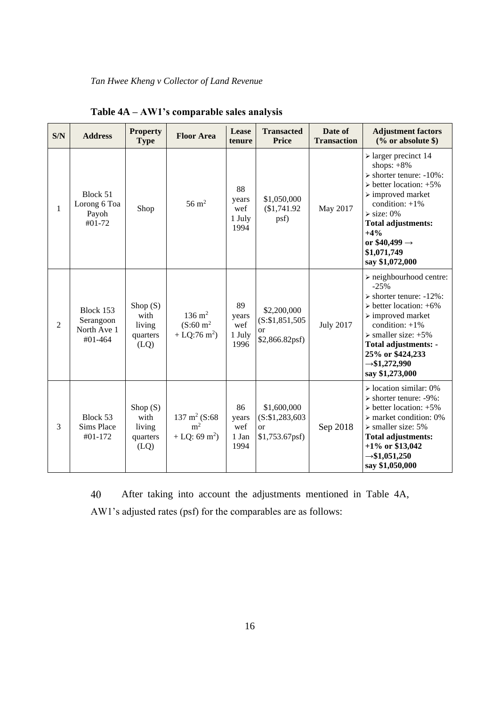| S/N            | <b>Address</b>                                   | <b>Property</b><br><b>Type</b>                   | <b>Floor Area</b>                                                         | Lease<br>tenure                      | <b>Transacted</b><br><b>Price</b>                                 | Date of<br><b>Transaction</b> | <b>Adjustment factors</b><br>$(\%$ or absolute \$)                                                                                                                                                                                                                                                                                |
|----------------|--------------------------------------------------|--------------------------------------------------|---------------------------------------------------------------------------|--------------------------------------|-------------------------------------------------------------------|-------------------------------|-----------------------------------------------------------------------------------------------------------------------------------------------------------------------------------------------------------------------------------------------------------------------------------------------------------------------------------|
| 1              | Block 51<br>Lorong 6 Toa<br>Payoh<br>#01-72      | Shop                                             | $56 \text{ m}^2$                                                          | 88<br>years<br>wef<br>1 July<br>1994 | \$1,050,000<br>(\$1,741.92<br>psf)                                | May 2017                      | $\triangleright$ larger precinct 14<br>shops: $+8\%$<br>$\triangleright$ shorter tenure: -10%:<br>$\triangleright$ better location: +5%<br>$\triangleright$ improved market<br>condition: $+1\%$<br>$\triangleright$ size: 0%<br><b>Total adjustments:</b><br>$+4%$<br>or $$40,499 \rightarrow$<br>\$1,071,749<br>say \$1,072,000 |
| $\overline{2}$ | Block 153<br>Serangoon<br>North Ave 1<br>#01-464 | Shop $(S)$<br>with<br>living<br>quarters<br>(LQ) | $136 \; \mathrm{m}^2$<br>$(S:60 \text{ m}^2)$<br>+ LQ:76 m <sup>2</sup> ) | 89<br>years<br>wef<br>1 July<br>1996 | \$2,200,000<br>(S: \$1,851,505<br><sub>or</sub><br>\$2,866.82psf) | <b>July 2017</b>              | $\triangleright$ neighbourhood centre:<br>$-25%$<br>$\triangleright$ shorter tenure: -12%:<br>$\triangleright$ better location: +6%<br>$\triangleright$ improved market<br>condition: $+1\%$<br>$\triangleright$ smaller size: +5%<br>Total adjustments: -<br>25% or \$424,233<br>$\rightarrow$ \$1,272,990<br>say \$1,273,000    |
| 3              | Block 53<br><b>Sims Place</b><br>#01-172         | Shop $(S)$<br>with<br>living<br>quarters<br>(LQ) | $137 \text{ m}^2$ (S:68)<br>m <sup>2</sup><br>+ LQ: 69 m <sup>2</sup> )   | 86<br>years<br>wef<br>1 Jan<br>1994  | \$1,600,000<br>$(S:\$1,283,603$<br><b>or</b><br>$$1,753.67$ psf)  | Sep 2018                      | $\triangleright$ location similar: 0%<br>> shorter tenure: -9%:<br>$\triangleright$ better location: +5%<br>$\triangleright$ market condition: 0%<br>$\triangleright$ smaller size: 5%<br><b>Total adjustments:</b><br>$+1\%$ or \$13,042<br>$\rightarrow$ \$1,051,250<br>say \$1,050,000                                         |

**Table 4A – AW1's comparable sales analysis**

After taking into account the adjustments mentioned in Table 4A, 40 AW1's adjusted rates (psf) for the comparables are as follows: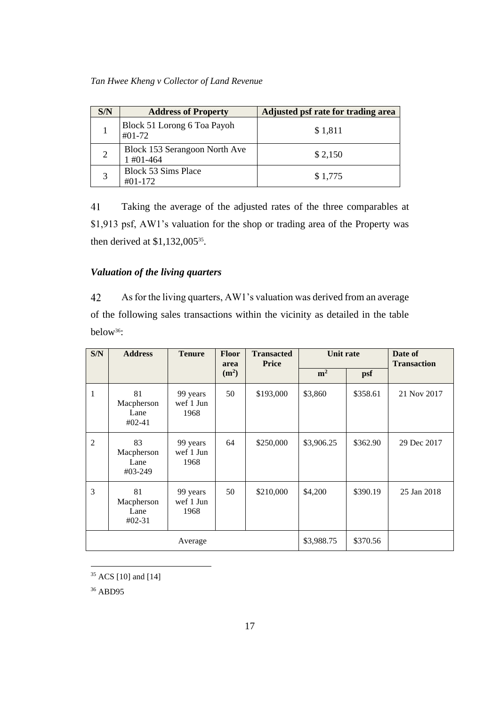| S/N            | <b>Address of Property</b>                   | Adjusted psf rate for trading area |
|----------------|----------------------------------------------|------------------------------------|
|                | Block 51 Lorong 6 Toa Payoh<br>$\#01 - 72$   | \$1,811                            |
| $\overline{2}$ | Block 153 Serangoon North Ave<br>$1\#01-464$ | \$2,150                            |
| 3              | <b>Block 53 Sims Place</b><br>$\#01 - 172$   | \$1,775                            |

41 Taking the average of the adjusted rates of the three comparables at \$1,913 psf, AW1's valuation for the shop or trading area of the Property was then derived at  $$1,132,005^{35}$ .

# <span id="page-20-0"></span>*Valuation of the living quarters*

42 As for the living quarters, AW1's valuation was derived from an average of the following sales transactions within the vicinity as detailed in the table below36:

| S/N            | <b>Address</b>                       | <b>Tenure</b>                 | Floor<br>area     | <b>Transacted</b><br><b>Price</b> | Unit rate      |          | Date of<br><b>Transaction</b> |
|----------------|--------------------------------------|-------------------------------|-------------------|-----------------------------------|----------------|----------|-------------------------------|
|                |                                      |                               | (m <sup>2</sup> ) |                                   | m <sup>2</sup> | psf      |                               |
| 1              | 81<br>Macpherson<br>Lane<br>$#02-41$ | 99 years<br>wef 1 Jun<br>1968 | 50                | \$193,000                         | \$3,860        | \$358.61 | 21 Nov 2017                   |
| $\overline{2}$ | 83<br>Macpherson<br>Lane<br>#03-249  | 99 years<br>wef 1 Jun<br>1968 | 64                | \$250,000                         | \$3,906.25     | \$362.90 | 29 Dec 2017                   |
| 3              | 81<br>Macpherson<br>Lane<br>$#02-31$ | 99 years<br>wef 1 Jun<br>1968 | 50                | \$210,000                         | \$4,200        | \$390.19 | 25 Jan 2018                   |
|                |                                      | Average                       |                   |                                   | \$3,988.75     | \$370.56 |                               |

<sup>35</sup> ACS [10] and [14]

<sup>36</sup> ABD95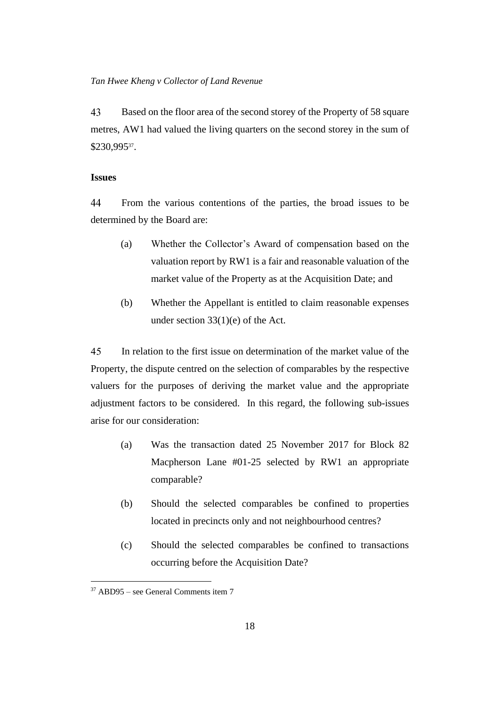43 Based on the floor area of the second storey of the Property of 58 square metres, AW1 had valued the living quarters on the second storey in the sum of \$230,995<sup>37</sup> .

#### <span id="page-21-0"></span>**Issues**

44 From the various contentions of the parties, the broad issues to be determined by the Board are:

- (a) Whether the Collector's Award of compensation based on the valuation report by RW1 is a fair and reasonable valuation of the market value of the Property as at the Acquisition Date; and
- (b) Whether the Appellant is entitled to claim reasonable expenses under section 33(1)(e) of the Act.

45 In relation to the first issue on determination of the market value of the Property, the dispute centred on the selection of comparables by the respective valuers for the purposes of deriving the market value and the appropriate adjustment factors to be considered. In this regard, the following sub-issues arise for our consideration:

- (a) Was the transaction dated 25 November 2017 for Block 82 Macpherson Lane #01-25 selected by RW1 an appropriate comparable?
- (b) Should the selected comparables be confined to properties located in precincts only and not neighbourhood centres?
- (c) Should the selected comparables be confined to transactions occurring before the Acquisition Date?

<sup>37</sup> ABD95 – see General Comments item 7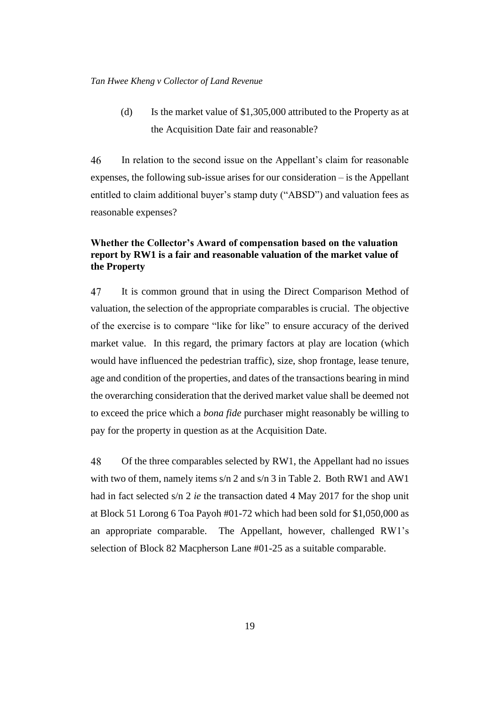(d) Is the market value of \$1,305,000 attributed to the Property as at the Acquisition Date fair and reasonable?

46 In relation to the second issue on the Appellant's claim for reasonable expenses, the following sub-issue arises for our consideration – is the Appellant entitled to claim additional buyer's stamp duty ("ABSD") and valuation fees as reasonable expenses?

## <span id="page-22-0"></span>**Whether the Collector's Award of compensation based on the valuation report by RW1 is a fair and reasonable valuation of the market value of the Property**

47 It is common ground that in using the Direct Comparison Method of valuation, the selection of the appropriate comparables is crucial. The objective of the exercise is to compare "like for like" to ensure accuracy of the derived market value. In this regard, the primary factors at play are location (which would have influenced the pedestrian traffic), size, shop frontage, lease tenure, age and condition of the properties, and dates of the transactions bearing in mind the overarching consideration that the derived market value shall be deemed not to exceed the price which a *bona fide* purchaser might reasonably be willing to pay for the property in question as at the Acquisition Date.

48 Of the three comparables selected by RW1, the Appellant had no issues with two of them, namely items s/n 2 and s/n 3 in Table 2. Both RW1 and AW1 had in fact selected s/n 2 *ie* the transaction dated 4 May 2017 for the shop unit at Block 51 Lorong 6 Toa Payoh #01-72 which had been sold for \$1,050,000 as an appropriate comparable. The Appellant, however, challenged RW1's selection of Block 82 Macpherson Lane #01-25 as a suitable comparable.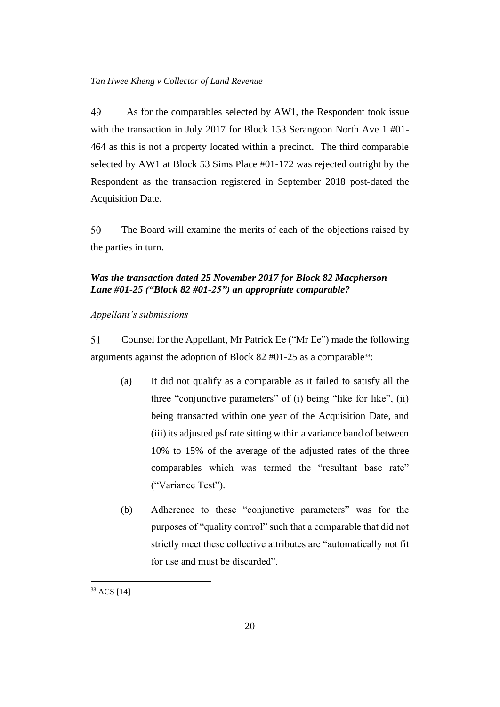49 As for the comparables selected by AW1, the Respondent took issue with the transaction in July 2017 for Block 153 Serangoon North Ave 1 #01- 464 as this is not a property located within a precinct. The third comparable selected by AW1 at Block 53 Sims Place #01-172 was rejected outright by the Respondent as the transaction registered in September 2018 post-dated the Acquisition Date.

50 The Board will examine the merits of each of the objections raised by the parties in turn.

## <span id="page-23-0"></span>*Was the transaction dated 25 November 2017 for Block 82 Macpherson Lane #01-25 ("Block 82 #01-25") an appropriate comparable?*

#### <span id="page-23-1"></span>*Appellant's submissions*

51 Counsel for the Appellant, Mr Patrick Ee ("Mr Ee") made the following arguments against the adoption of Block 82  $#01-25$  as a comparable<sup>38</sup>:

- (a) It did not qualify as a comparable as it failed to satisfy all the three "conjunctive parameters" of (i) being "like for like", (ii) being transacted within one year of the Acquisition Date, and (iii) its adjusted psf rate sitting within a variance band of between 10% to 15% of the average of the adjusted rates of the three comparables which was termed the "resultant base rate" ("Variance Test").
- (b) Adherence to these "conjunctive parameters" was for the purposes of "quality control" such that a comparable that did not strictly meet these collective attributes are "automatically not fit for use and must be discarded".

<sup>38</sup> ACS [14]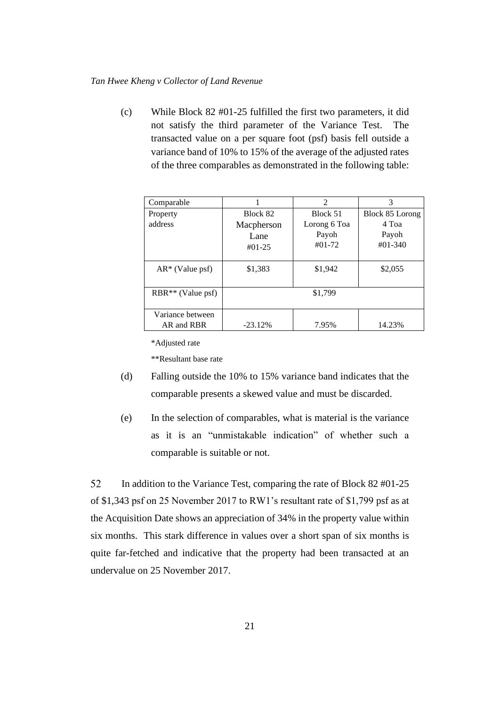(c) While Block 82 #01-25 fulfilled the first two parameters, it did not satisfy the third parameter of the Variance Test. The transacted value on a per square foot (psf) basis fell outside a variance band of 10% to 15% of the average of the adjusted rates of the three comparables as demonstrated in the following table:

| Comparable          |            | $\mathfrak{D}$ | 3               |  |
|---------------------|------------|----------------|-----------------|--|
| Property            | Block 82   | Block 51       | Block 85 Lorong |  |
| address             | Macpherson | Lorong 6 Toa   | 4 Toa           |  |
|                     | Lane       | Payoh          | Payoh           |  |
|                     | $#01-25$   | $#01-72$       | $\#01 - 340$    |  |
| $AR^*$ (Value psf)  | \$1,383    | \$1,942        | \$2,055         |  |
| $RBR**$ (Value psf) |            | \$1,799        |                 |  |
| Variance between    |            |                |                 |  |
| AR and RBR          | $-23.12%$  | 7.95%          | 14.23%          |  |

\*Adjusted rate

\*\*Resultant base rate

- (d) Falling outside the 10% to 15% variance band indicates that the comparable presents a skewed value and must be discarded.
- (e) In the selection of comparables, what is material is the variance as it is an "unmistakable indication" of whether such a comparable is suitable or not.

52 In addition to the Variance Test, comparing the rate of Block 82 #01-25 of \$1,343 psf on 25 November 2017 to RW1's resultant rate of \$1,799 psf as at the Acquisition Date shows an appreciation of 34% in the property value within six months. This stark difference in values over a short span of six months is quite far-fetched and indicative that the property had been transacted at an undervalue on 25 November 2017.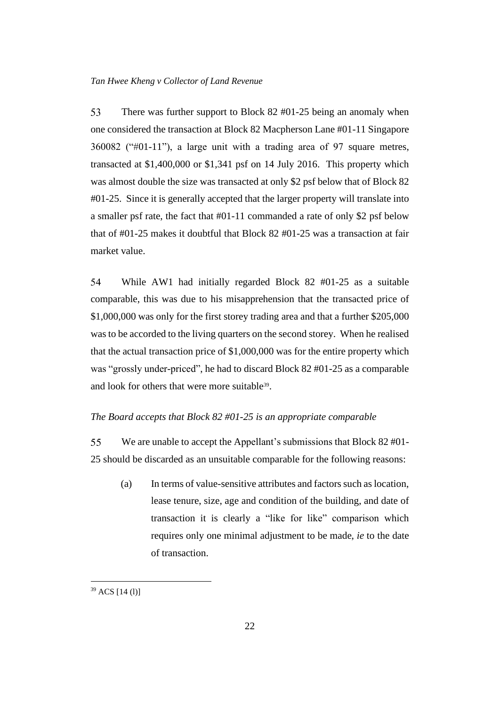53 There was further support to Block 82 #01-25 being an anomaly when one considered the transaction at Block 82 Macpherson Lane #01-11 Singapore 360082 ("#01-11"), a large unit with a trading area of 97 square metres, transacted at \$1,400,000 or \$1,341 psf on 14 July 2016. This property which was almost double the size was transacted at only \$2 psf below that of Block 82 #01-25. Since it is generally accepted that the larger property will translate into a smaller psf rate, the fact that #01-11 commanded a rate of only \$2 psf below that of #01-25 makes it doubtful that Block 82 #01-25 was a transaction at fair market value.

54 While AW1 had initially regarded Block 82 #01-25 as a suitable comparable, this was due to his misapprehension that the transacted price of \$1,000,000 was only for the first storey trading area and that a further \$205,000 was to be accorded to the living quarters on the second storey. When he realised that the actual transaction price of \$1,000,000 was for the entire property which was "grossly under-priced", he had to discard Block 82 #01-25 as a comparable and look for others that were more suitable<sup>39</sup>.

#### <span id="page-25-0"></span>*The Board accepts that Block 82 #01-25 is an appropriate comparable*

55 We are unable to accept the Appellant's submissions that Block 82 #01- 25 should be discarded as an unsuitable comparable for the following reasons:

(a) In terms of value-sensitive attributes and factors such as location, lease tenure, size, age and condition of the building, and date of transaction it is clearly a "like for like" comparison which requires only one minimal adjustment to be made, *ie* to the date of transaction.

<sup>39</sup> ACS [14 (l)]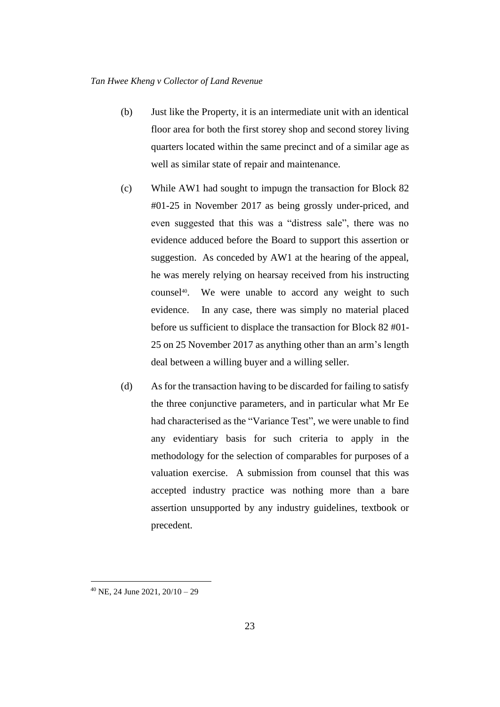- (b) Just like the Property, it is an intermediate unit with an identical floor area for both the first storey shop and second storey living quarters located within the same precinct and of a similar age as well as similar state of repair and maintenance.
- (c) While AW1 had sought to impugn the transaction for Block 82 #01-25 in November 2017 as being grossly under-priced, and even suggested that this was a "distress sale", there was no evidence adduced before the Board to support this assertion or suggestion. As conceded by AW1 at the hearing of the appeal, he was merely relying on hearsay received from his instructing counsel<sup>40</sup>. We were unable to accord any weight to such evidence. In any case, there was simply no material placed before us sufficient to displace the transaction for Block 82 #01- 25 on 25 November 2017 as anything other than an arm's length deal between a willing buyer and a willing seller.
- (d) As for the transaction having to be discarded for failing to satisfy the three conjunctive parameters, and in particular what Mr Ee had characterised as the "Variance Test", we were unable to find any evidentiary basis for such criteria to apply in the methodology for the selection of comparables for purposes of a valuation exercise. A submission from counsel that this was accepted industry practice was nothing more than a bare assertion unsupported by any industry guidelines, textbook or precedent.

<sup>40</sup> NE, 24 June 2021, 20/10 – 29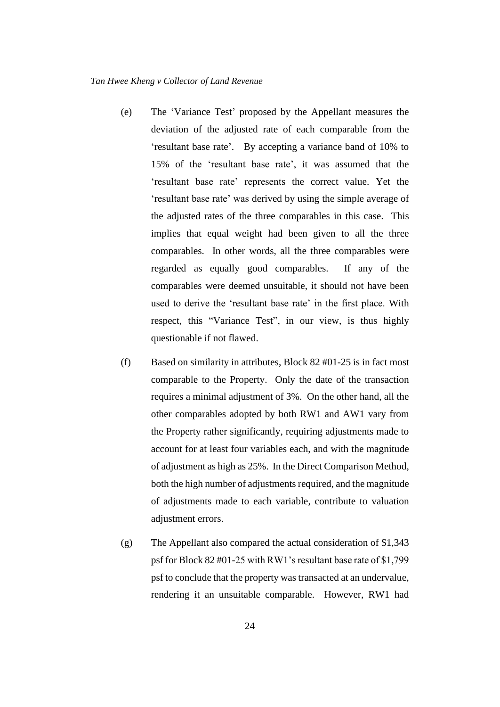- (e) The 'Variance Test' proposed by the Appellant measures the deviation of the adjusted rate of each comparable from the 'resultant base rate'. By accepting a variance band of 10% to 15% of the 'resultant base rate', it was assumed that the 'resultant base rate' represents the correct value. Yet the 'resultant base rate' was derived by using the simple average of the adjusted rates of the three comparables in this case. This implies that equal weight had been given to all the three comparables. In other words, all the three comparables were regarded as equally good comparables. If any of the comparables were deemed unsuitable, it should not have been used to derive the 'resultant base rate' in the first place. With respect, this "Variance Test", in our view, is thus highly questionable if not flawed.
- (f) Based on similarity in attributes, Block 82 #01-25 is in fact most comparable to the Property. Only the date of the transaction requires a minimal adjustment of 3%. On the other hand, all the other comparables adopted by both RW1 and AW1 vary from the Property rather significantly, requiring adjustments made to account for at least four variables each, and with the magnitude of adjustment as high as 25%. In the Direct Comparison Method, both the high number of adjustments required, and the magnitude of adjustments made to each variable, contribute to valuation adjustment errors.
- (g) The Appellant also compared the actual consideration of \$1,343 psf for Block 82 #01-25 with RW1's resultant base rate of \$1,799 psf to conclude that the property was transacted at an undervalue, rendering it an unsuitable comparable. However, RW1 had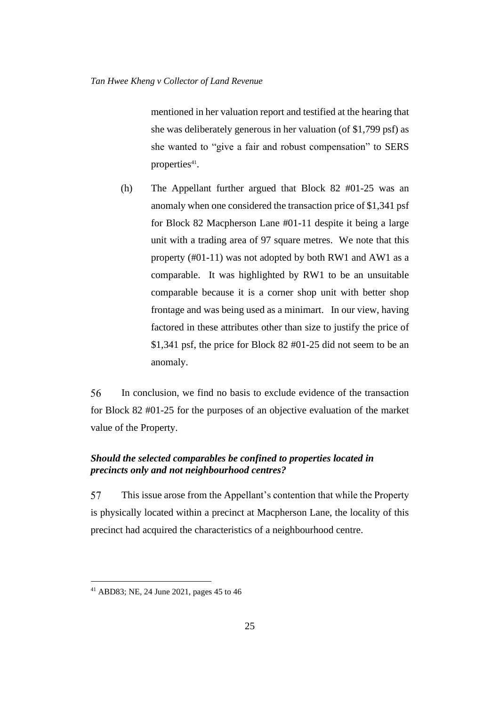mentioned in her valuation report and testified at the hearing that she was deliberately generous in her valuation (of \$1,799 psf) as she wanted to "give a fair and robust compensation" to SERS properties<sup>41</sup>.

(h) The Appellant further argued that Block 82 #01-25 was an anomaly when one considered the transaction price of \$1,341 psf for Block 82 Macpherson Lane #01-11 despite it being a large unit with a trading area of 97 square metres. We note that this property (#01-11) was not adopted by both RW1 and AW1 as a comparable. It was highlighted by RW1 to be an unsuitable comparable because it is a corner shop unit with better shop frontage and was being used as a minimart. In our view, having factored in these attributes other than size to justify the price of \$1,341 psf, the price for Block 82 #01-25 did not seem to be an anomaly.

56 In conclusion, we find no basis to exclude evidence of the transaction for Block 82 #01-25 for the purposes of an objective evaluation of the market value of the Property.

## <span id="page-28-0"></span>*Should the selected comparables be confined to properties located in precincts only and not neighbourhood centres?*

57 This issue arose from the Appellant's contention that while the Property is physically located within a precinct at Macpherson Lane, the locality of this precinct had acquired the characteristics of a neighbourhood centre.

<sup>41</sup> ABD83; NE, 24 June 2021, pages 45 to 46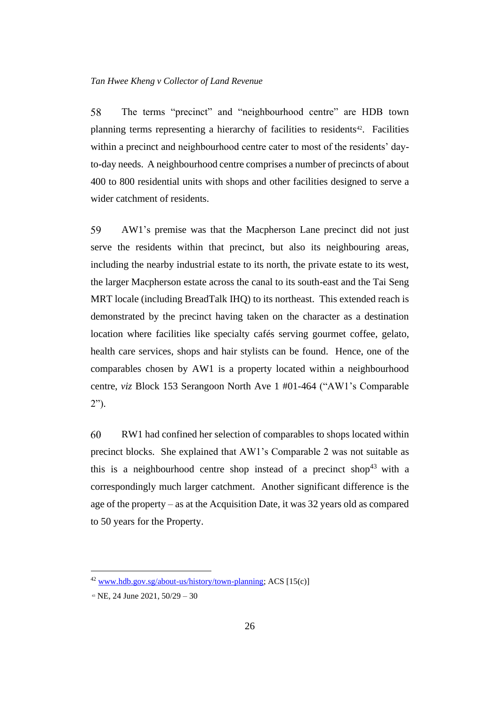58 The terms "precinct" and "neighbourhood centre" are HDB town planning terms representing a hierarchy of facilities to residents<sup>42</sup>. Facilities within a precinct and neighbourhood centre cater to most of the residents' dayto-day needs. A neighbourhood centre comprises a number of precincts of about 400 to 800 residential units with shops and other facilities designed to serve a wider catchment of residents.

59 AW1's premise was that the Macpherson Lane precinct did not just serve the residents within that precinct, but also its neighbouring areas, including the nearby industrial estate to its north, the private estate to its west, the larger Macpherson estate across the canal to its south-east and the Tai Seng MRT locale (including BreadTalk IHQ) to its northeast. This extended reach is demonstrated by the precinct having taken on the character as a destination location where facilities like specialty cafés serving gourmet coffee, gelato, health care services, shops and hair stylists can be found. Hence, one of the comparables chosen by AW1 is a property located within a neighbourhood centre, *viz* Block 153 Serangoon North Ave 1 #01-464 ("AW1's Comparable 2").

60 RW1 had confined her selection of comparables to shops located within precinct blocks. She explained that AW1's Comparable 2 was not suitable as this is a neighbourhood centre shop instead of a precinct shop<sup>43</sup> with a correspondingly much larger catchment. Another significant difference is the age of the property – as at the Acquisition Date, it was 32 years old as compared to 50 years for the Property.

<sup>42</sup> [www.hdb.gov.sg/about-us/history/town-planning;](http://www.hdb.gov.sg/about-us/history/town-planning) ACS [15(c)]

<sup>43</sup> NE, 24 June 2021, 50/29 – 30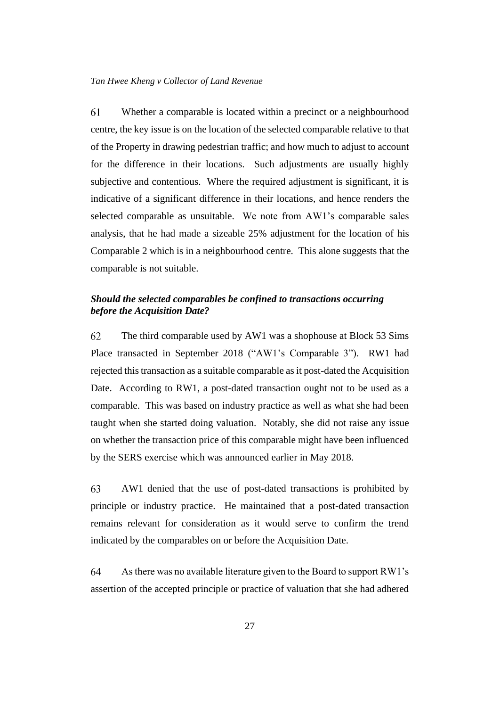61 Whether a comparable is located within a precinct or a neighbourhood centre, the key issue is on the location of the selected comparable relative to that of the Property in drawing pedestrian traffic; and how much to adjust to account for the difference in their locations. Such adjustments are usually highly subjective and contentious. Where the required adjustment is significant, it is indicative of a significant difference in their locations, and hence renders the selected comparable as unsuitable. We note from AW1's comparable sales analysis, that he had made a sizeable 25% adjustment for the location of his Comparable 2 which is in a neighbourhood centre. This alone suggests that the comparable is not suitable.

## <span id="page-30-0"></span>*Should the selected comparables be confined to transactions occurring before the Acquisition Date?*

62 The third comparable used by AW1 was a shophouse at Block 53 Sims Place transacted in September 2018 ("AW1's Comparable 3"). RW1 had rejected this transaction as a suitable comparable as it post-dated the Acquisition Date. According to RW1, a post-dated transaction ought not to be used as a comparable. This was based on industry practice as well as what she had been taught when she started doing valuation. Notably, she did not raise any issue on whether the transaction price of this comparable might have been influenced by the SERS exercise which was announced earlier in May 2018.

63 AW1 denied that the use of post-dated transactions is prohibited by principle or industry practice. He maintained that a post-dated transaction remains relevant for consideration as it would serve to confirm the trend indicated by the comparables on or before the Acquisition Date.

64 As there was no available literature given to the Board to support RW1's assertion of the accepted principle or practice of valuation that she had adhered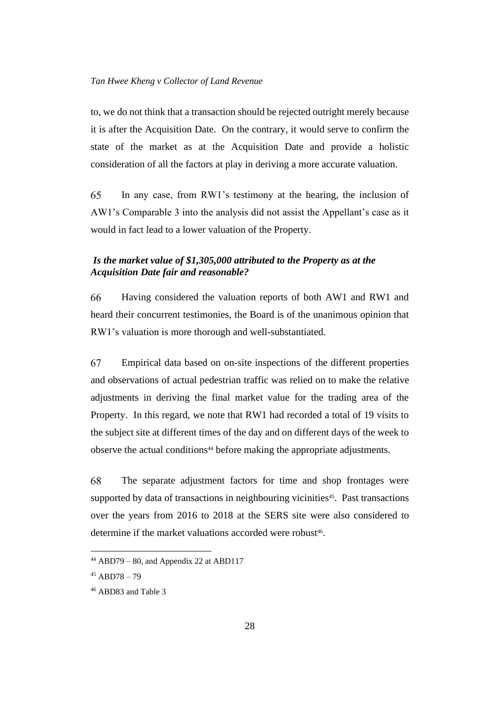to, we do not think that a transaction should be rejected outright merely because it is after the Acquisition Date. On the contrary, it would serve to confirm the state of the market as at the Acquisition Date and provide a holistic consideration of all the factors at play in deriving a more accurate valuation.

65 In any case, from RW1's testimony at the hearing, the inclusion of AW1's Comparable 3 into the analysis did not assist the Appellant's case as it would in fact lead to a lower valuation of the Property.

## <span id="page-31-0"></span>*Is the market value of \$1,305,000 attributed to the Property as at the Acquisition Date fair and reasonable?*

66 Having considered the valuation reports of both AW1 and RW1 and heard their concurrent testimonies, the Board is of the unanimous opinion that RW1's valuation is more thorough and well-substantiated.

67 Empirical data based on on-site inspections of the different properties and observations of actual pedestrian traffic was relied on to make the relative adjustments in deriving the final market value for the trading area of the Property. In this regard, we note that RW1 had recorded a total of 19 visits to the subject site at different times of the day and on different days of the week to observe the actual conditions<sup>44</sup> before making the appropriate adjustments.

68 The separate adjustment factors for time and shop frontages were supported by data of transactions in neighbouring vicinities<sup>45</sup>. Past transactions over the years from 2016 to 2018 at the SERS site were also considered to determine if the market valuations accorded were robust<sup>46</sup>.

 $44$  ABD79 – 80, and Appendix 22 at ABD117

 $45$  ABD78 – 79

<sup>46</sup> ABD83 and Table 3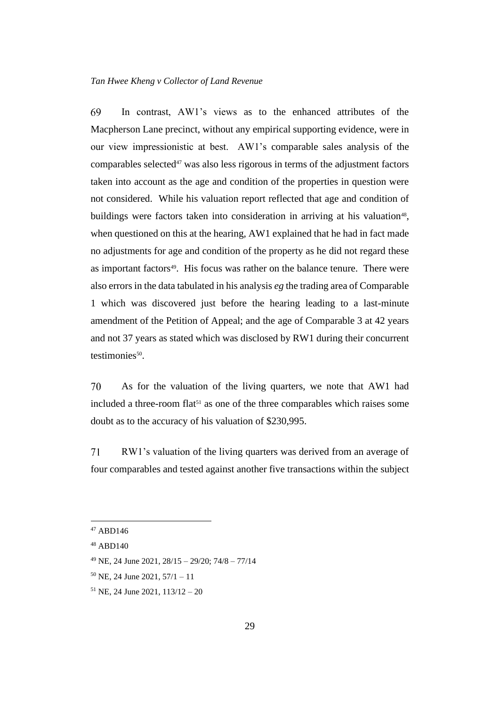69 In contrast, AW1's views as to the enhanced attributes of the Macpherson Lane precinct, without any empirical supporting evidence, were in our view impressionistic at best. AW1's comparable sales analysis of the comparables selected $47$  was also less rigorous in terms of the adjustment factors taken into account as the age and condition of the properties in question were not considered. While his valuation report reflected that age and condition of buildings were factors taken into consideration in arriving at his valuation<sup>48</sup>, when questioned on this at the hearing, AW1 explained that he had in fact made no adjustments for age and condition of the property as he did not regard these as important factors<sup>49</sup>. His focus was rather on the balance tenure. There were also errors in the data tabulated in his analysis *eg* the trading area of Comparable 1 which was discovered just before the hearing leading to a last-minute amendment of the Petition of Appeal; and the age of Comparable 3 at 42 years and not 37 years as stated which was disclosed by RW1 during their concurrent testimonies<sup>50</sup>.

70 As for the valuation of the living quarters, we note that AW1 had included a three-room flat<sup>51</sup> as one of the three comparables which raises some doubt as to the accuracy of his valuation of \$230,995.

71 RW1's valuation of the living quarters was derived from an average of four comparables and tested against another five transactions within the subject

<sup>47</sup> ABD146

<sup>48</sup> ABD140

<sup>49</sup> NE, 24 June 2021, 28/15 – 29/20; 74/8 – 77/14

 $50$  NE, 24 June 2021,  $57/1 - 11$ 

 $51$  NE, 24 June 2021,  $113/12 - 20$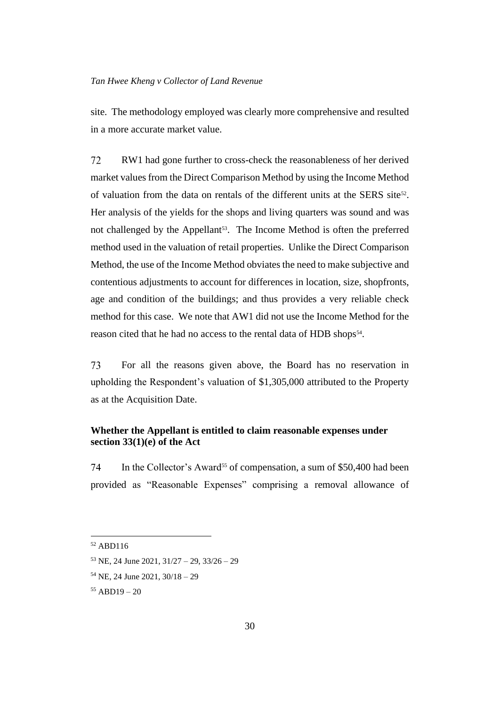site. The methodology employed was clearly more comprehensive and resulted in a more accurate market value.

72 RW1 had gone further to cross-check the reasonableness of her derived market values from the Direct Comparison Method by using the Income Method of valuation from the data on rentals of the different units at the SERS site<sup>52</sup>. Her analysis of the yields for the shops and living quarters was sound and was not challenged by the Appellant<sup>53</sup>. The Income Method is often the preferred method used in the valuation of retail properties. Unlike the Direct Comparison Method, the use of the Income Method obviates the need to make subjective and contentious adjustments to account for differences in location, size, shopfronts, age and condition of the buildings; and thus provides a very reliable check method for this case. We note that AW1 did not use the Income Method for the reason cited that he had no access to the rental data of HDB shops<sup>54</sup>.

73 For all the reasons given above, the Board has no reservation in upholding the Respondent's valuation of \$1,305,000 attributed to the Property as at the Acquisition Date.

## <span id="page-33-0"></span>**Whether the Appellant is entitled to claim reasonable expenses under section 33(1)(e) of the Act**

74 In the Collector's Award<sup>55</sup> of compensation, a sum of \$50,400 had been provided as "Reasonable Expenses" comprising a removal allowance of

<sup>52</sup> ABD116

 $53$  NE, 24 June 2021,  $31/27 - 29$ ,  $33/26 - 29$ 

<sup>54</sup> NE, 24 June 2021, 30/18 – 29

<sup>55</sup> ABD19 – 20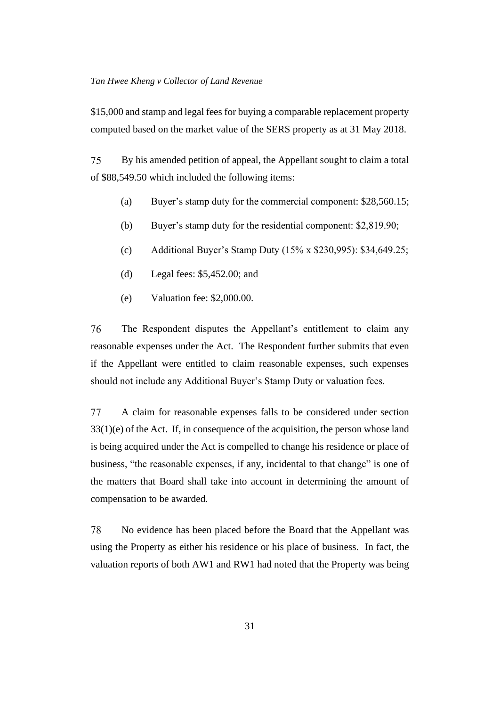\$15,000 and stamp and legal fees for buying a comparable replacement property computed based on the market value of the SERS property as at 31 May 2018.

75 By his amended petition of appeal, the Appellant sought to claim a total of \$88,549.50 which included the following items:

- (a) Buyer's stamp duty for the commercial component: \$28,560.15;
- (b) Buyer's stamp duty for the residential component: \$2,819.90;
- (c) Additional Buyer's Stamp Duty (15% x \$230,995): \$34,649.25;
- (d) Legal fees: \$5,452.00; and
- (e) Valuation fee: \$2,000.00.

76 The Respondent disputes the Appellant's entitlement to claim any reasonable expenses under the Act. The Respondent further submits that even if the Appellant were entitled to claim reasonable expenses, such expenses should not include any Additional Buyer's Stamp Duty or valuation fees.

77 A claim for reasonable expenses falls to be considered under section 33(1)(e) of the Act. If, in consequence of the acquisition, the person whose land is being acquired under the Act is compelled to change his residence or place of business, "the reasonable expenses, if any, incidental to that change" is one of the matters that Board shall take into account in determining the amount of compensation to be awarded.

78 No evidence has been placed before the Board that the Appellant was using the Property as either his residence or his place of business. In fact, the valuation reports of both AW1 and RW1 had noted that the Property was being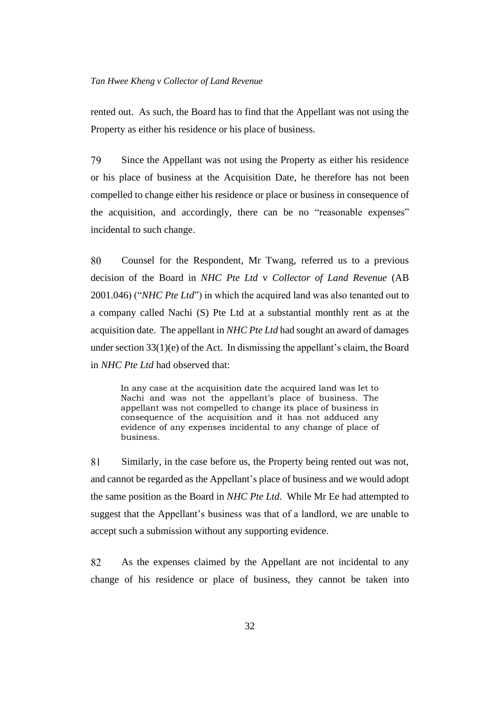rented out. As such, the Board has to find that the Appellant was not using the Property as either his residence or his place of business.

79 Since the Appellant was not using the Property as either his residence or his place of business at the Acquisition Date, he therefore has not been compelled to change either his residence or place or business in consequence of the acquisition, and accordingly, there can be no "reasonable expenses" incidental to such change.

80 Counsel for the Respondent, Mr Twang, referred us to a previous decision of the Board in *NHC Pte Ltd* v *Collector of Land Revenue* (AB 2001.046) ("*NHC Pte Ltd*") in which the acquired land was also tenanted out to a company called Nachi (S) Pte Ltd at a substantial monthly rent as at the acquisition date. The appellant in *NHC Pte Ltd* had sought an award of damages under section 33(1)(e) of the Act. In dismissing the appellant's claim, the Board in *NHC Pte Ltd* had observed that:

In any case at the acquisition date the acquired land was let to Nachi and was not the appellant's place of business. The appellant was not compelled to change its place of business in consequence of the acquisition and it has not adduced any evidence of any expenses incidental to any change of place of business.

81 Similarly, in the case before us, the Property being rented out was not, and cannot be regarded as the Appellant's place of business and we would adopt the same position as the Board in *NHC Pte Ltd*. While Mr Ee had attempted to suggest that the Appellant's business was that of a landlord, we are unable to accept such a submission without any supporting evidence.

82 As the expenses claimed by the Appellant are not incidental to any change of his residence or place of business, they cannot be taken into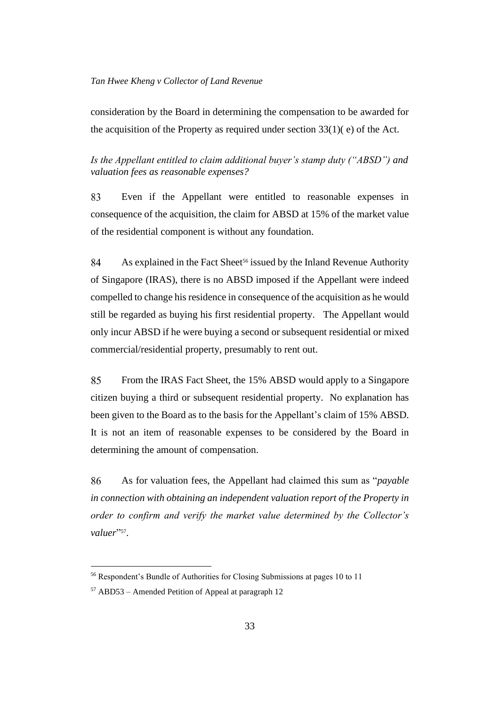consideration by the Board in determining the compensation to be awarded for the acquisition of the Property as required under section  $33(1)$ (e) of the Act.

<span id="page-36-0"></span>*Is the Appellant entitled to claim additional buyer's stamp duty ("ABSD") and valuation fees as reasonable expenses?*

83 Even if the Appellant were entitled to reasonable expenses in consequence of the acquisition, the claim for ABSD at 15% of the market value of the residential component is without any foundation.

84 As explained in the Fact Sheet<sup>56</sup> issued by the Inland Revenue Authority of Singapore (IRAS), there is no ABSD imposed if the Appellant were indeed compelled to change his residence in consequence of the acquisition as he would still be regarded as buying his first residential property. The Appellant would only incur ABSD if he were buying a second or subsequent residential or mixed commercial/residential property, presumably to rent out.

85 From the IRAS Fact Sheet, the 15% ABSD would apply to a Singapore citizen buying a third or subsequent residential property. No explanation has been given to the Board as to the basis for the Appellant's claim of 15% ABSD. It is not an item of reasonable expenses to be considered by the Board in determining the amount of compensation.

86 As for valuation fees, the Appellant had claimed this sum as "*payable in connection with obtaining an independent valuation report of the Property in order to confirm and verify the market value determined by the Collector's*  valuer<sup>"57</sup>.

<sup>56</sup> Respondent's Bundle of Authorities for Closing Submissions at pages 10 to 11

<sup>57</sup> ABD53 – Amended Petition of Appeal at paragraph 12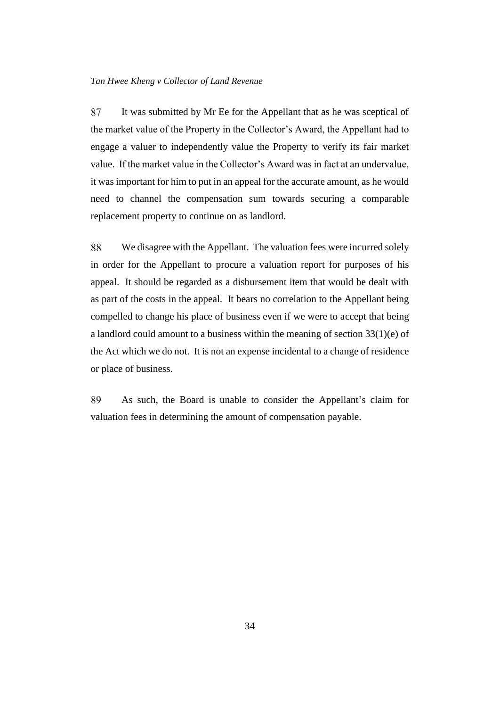87 It was submitted by Mr Ee for the Appellant that as he was sceptical of the market value of the Property in the Collector's Award, the Appellant had to engage a valuer to independently value the Property to verify its fair market value. If the market value in the Collector's Award was in fact at an undervalue, it was important for him to put in an appeal for the accurate amount, as he would need to channel the compensation sum towards securing a comparable replacement property to continue on as landlord.

88 We disagree with the Appellant. The valuation fees were incurred solely in order for the Appellant to procure a valuation report for purposes of his appeal. It should be regarded as a disbursement item that would be dealt with as part of the costs in the appeal. It bears no correlation to the Appellant being compelled to change his place of business even if we were to accept that being a landlord could amount to a business within the meaning of section  $33(1)(e)$  of the Act which we do not. It is not an expense incidental to a change of residence or place of business.

89 As such, the Board is unable to consider the Appellant's claim for valuation fees in determining the amount of compensation payable.